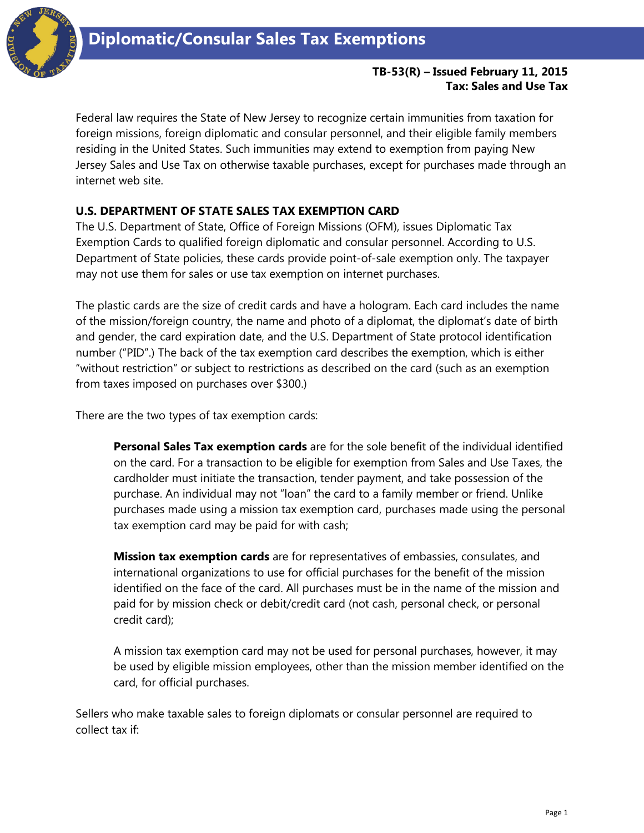

## **TB-53(R) – Issued February 11, 2015 Tax: Sales and Use Tax**

Federal law requires the State of New Jersey to recognize certain immunities from taxation for foreign missions, foreign diplomatic and consular personnel, and their eligible family members residing in the United States. Such immunities may extend to exemption from paying New Jersey Sales and Use Tax on otherwise taxable purchases, except for purchases made through an internet web site.

## **U.S. DEPARTMENT OF STATE SALES TAX EXEMPTION CARD**

The U.S. Department of State, Office of Foreign Missions (OFM), issues Diplomatic Tax Exemption Cards to qualified foreign diplomatic and consular personnel. According to U.S. Department of State policies, these cards provide point-of-sale exemption only. The taxpayer may not use them for sales or use tax exemption on internet purchases.

The plastic cards are the size of credit cards and have a hologram. Each card includes the name of the mission/foreign country, the name and photo of a diplomat, the diplomat's date of birth and gender, the card expiration date, and the U.S. Department of State protocol identification number ("PID".) The back of the tax exemption card describes the exemption, which is either "without restriction" or subject to restrictions as described on the card (such as an exemption from taxes imposed on purchases over \$300.)

There are the two types of tax exemption cards:

**Personal Sales Tax exemption cards** are for the sole benefit of the individual identified on the card. For a transaction to be eligible for exemption from Sales and Use Taxes, the cardholder must initiate the transaction, tender payment, and take possession of the purchase. An individual may not "loan" the card to a family member or friend. Unlike purchases made using a mission tax exemption card, purchases made using the personal tax exemption card may be paid for with cash;

**Mission tax exemption cards** are for representatives of embassies, consulates, and international organizations to use for official purchases for the benefit of the mission identified on the face of the card. All purchases must be in the name of the mission and paid for by mission check or debit/credit card (not cash, personal check, or personal credit card);

A mission tax exemption card may not be used for personal purchases, however, it may be used by eligible mission employees, other than the mission member identified on the card, for official purchases.

Sellers who make taxable sales to foreign diplomats or consular personnel are required to collect tax if: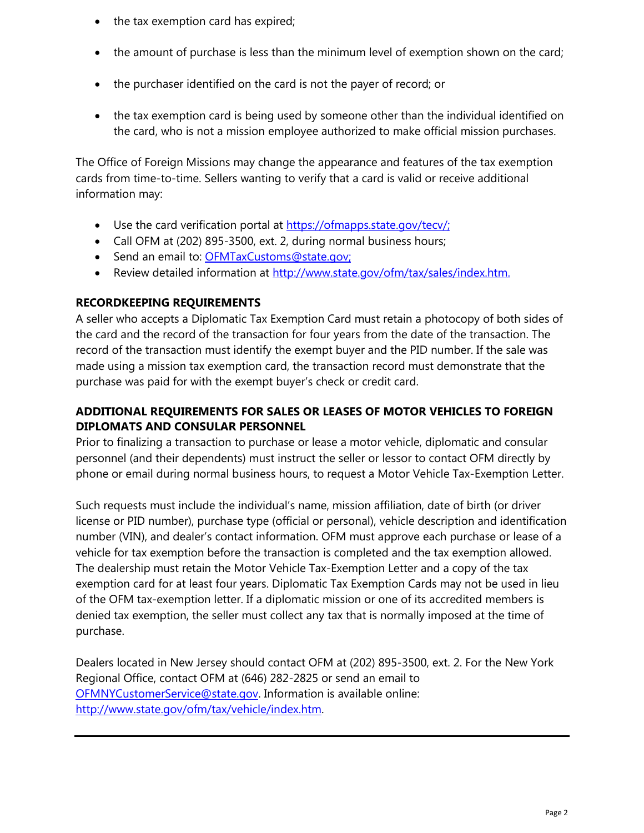- the tax exemption card has expired;
- the amount of purchase is less than the minimum level of exemption shown on the card;
- the purchaser identified on the card is not the payer of record; or
- the tax exemption card is being used by someone other than the individual identified on the card, who is not a mission employee authorized to make official mission purchases.

The Office of Foreign Missions may change the appearance and features of the tax exemption cards from time-to-time. Sellers wanting to verify that a card is valid or receive additional information may:

- Use the card verification portal at [https://ofmapps.state.gov/tecv/;](https://ofmapps.state.gov/tecv/)
- Call OFM at (202) 895-3500, ext. 2, during normal business hours;
- Send an email to: [OFMTaxCustoms@state.gov;](mailto:OFMTaxCustoms@state.gov)
- Review detailed information at [http://www.state.gov/ofm/tax/sales/index.htm.](http://www.state.gov/ofm/tax/sales/index.htm)

## **RECORDKEEPING REQUIREMENTS**

A seller who accepts a Diplomatic Tax Exemption Card must retain a photocopy of both sides of the card and the record of the transaction for four years from the date of the transaction. The record of the transaction must identify the exempt buyer and the PID number. If the sale was made using a mission tax exemption card, the transaction record must demonstrate that the purchase was paid for with the exempt buyer's check or credit card.

## **ADDITIONAL REQUIREMENTS FOR SALES OR LEASES OF MOTOR VEHICLES TO FOREIGN DIPLOMATS AND CONSULAR PERSONNEL**

Prior to finalizing a transaction to purchase or lease a motor vehicle, diplomatic and consular personnel (and their dependents) must instruct the seller or lessor to contact OFM directly by phone or email during normal business hours, to request a Motor Vehicle Tax-Exemption Letter.

Such requests must include the individual's name, mission affiliation, date of birth (or driver license or PID number), purchase type (official or personal), vehicle description and identification number (VIN), and dealer's contact information. OFM must approve each purchase or lease of a vehicle for tax exemption before the transaction is completed and the tax exemption allowed. The dealership must retain the Motor Vehicle Tax-Exemption Letter and a copy of the tax exemption card for at least four years. Diplomatic Tax Exemption Cards may not be used in lieu of the OFM tax-exemption letter. If a diplomatic mission or one of its accredited members is denied tax exemption, the seller must collect any tax that is normally imposed at the time of purchase.

Dealers located in New Jersey should contact OFM at (202) 895-3500, ext. 2. For the New York Regional Office, contact OFM at (646) 282-2825 or send an email to [OFMNYCustomerService@state.gov.](mailto:OFMNYCustomerService@state.gov) Information is available online: [http://www.state.gov/ofm/tax/vehicle/index.htm.](http://www.state.gov/ofm/tax/vehicle/index.htm)